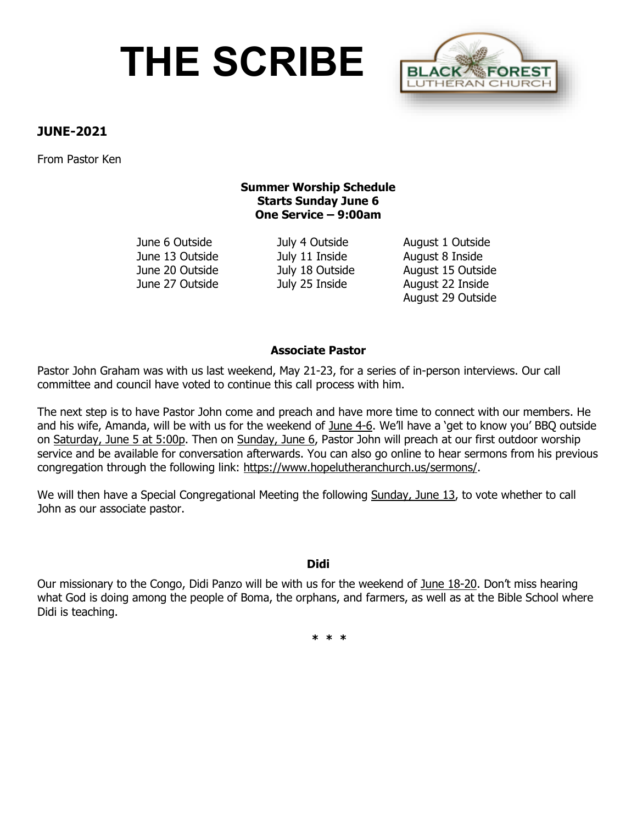# **THE SCRIBE**



## **JUNE-2021**

From Pastor Ken

## **Summer Worship Schedule Starts Sunday June 6 One Service – 9:00am**

June 13 Outside July 11 Inside August 8 Inside

June 6 Outside July 4 Outside August 1 Outside June 20 Outside July 18 Outside August 15 Outside June 27 Outside July 25 Inside August 22 Inside August 29 Outside

## **Associate Pastor**

Pastor John Graham was with us last weekend, May 21-23, for a series of in-person interviews. Our call committee and council have voted to continue this call process with him.

The next step is to have Pastor John come and preach and have more time to connect with our members. He and his wife, Amanda, will be with us for the weekend of June 4-6. We'll have a 'get to know you' BBQ outside on Saturday, June 5 at 5:00p. Then on Sunday, June 6, Pastor John will preach at our first outdoor worship service and be available for conversation afterwards. You can also go online to hear sermons from his previous congregation through the following link: [https://www.hopelutheranchurch.us/sermons/.](https://www.hopelutheranchurch.us/sermons/)

We will then have a Special Congregational Meeting the following Sunday, June 13, to vote whether to call John as our associate pastor.

## **Didi**

Our missionary to the Congo, Didi Panzo will be with us for the weekend of June 18-20. Don't miss hearing what God is doing among the people of Boma, the orphans, and farmers, as well as at the Bible School where Didi is teaching.

**\* \* \***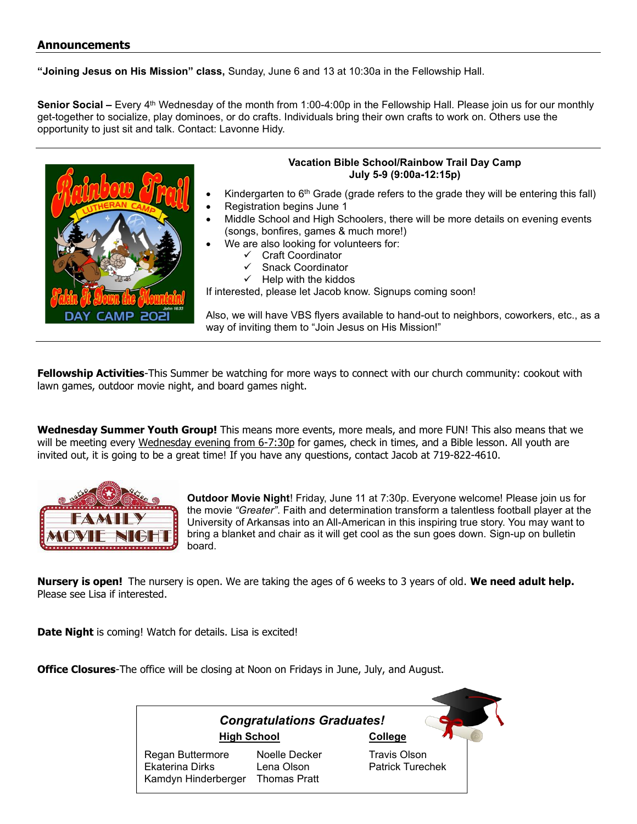### **Announcements**

**"Joining Jesus on His Mission" class,** Sunday, June 6 and 13 at 10:30a in the Fellowship Hall.

**Senior Social –** Every 4<sup>th</sup> Wednesday of the month from 1:00-4:00p in the Fellowship Hall. Please join us for our monthly get-together to socialize, play dominoes, or do crafts. Individuals bring their own crafts to work on. Others use the opportunity to just sit and talk. Contact: Lavonne Hidy.



### **Vacation Bible School/Rainbow Trail Day Camp July 5-9 (9:00a-12:15p)**

- Kindergarten to  $6<sup>th</sup>$  Grade (grade refers to the grade they will be entering this fall)
- Registration begins June 1
- Middle School and High Schoolers, there will be more details on evening events (songs, bonfires, games & much more!)
- We are also looking for volunteers for:
	- ✓ Craft Coordinator
	- ✓ Snack Coordinator
	- $\checkmark$  Help with the kiddos

If interested, please let Jacob know. Signups coming soon!

Also, we will have VBS flyers available to hand-out to neighbors, coworkers, etc., as a way of inviting them to "Join Jesus on His Mission!"

**Fellowship Activities**-This Summer be watching for more ways to connect with our church community: cookout with lawn games, outdoor movie night, and board games night.

**Wednesday Summer Youth Group!** This means more events, more meals, and more FUN! This also means that we will be meeting every Wednesday evening from 6-7:30p for games, check in times, and a Bible lesson. All youth are invited out, it is going to be a great time! If you have any questions, contact Jacob at 719-822-4610.



**Outdoor Movie Night**! Friday, June 11 at 7:30p. Everyone welcome! Please join us for the movie *"Greater"*. Faith and determination transform a talentless football player at the University of Arkansas into an All-American in this inspiring true story. You may want to bring a blanket and chair as it will get cool as the sun goes down. Sign-up on bulletin board.

**Nursery is open!** The nursery is open. We are taking the ages of 6 weeks to 3 years of old. **We need adult help.** Please see Lisa if interested.

**Date Night** is coming! Watch for details. Lisa is excited!

**Office Closures**-The office will be closing at Noon on Fridays in June, July, and August.

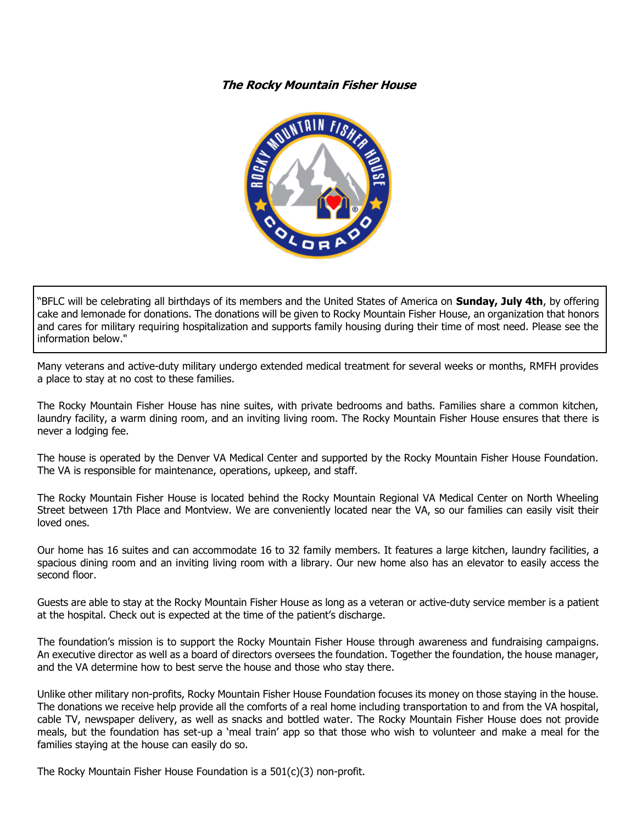### **The Rocky Mountain Fisher House**



"BFLC will be celebrating all birthdays of its members and the United States of America on **Sunday, July 4th**, by offering cake and lemonade for donations. The donations will be given to Rocky Mountain Fisher House, an organization that honors and cares for military requiring hospitalization and supports family housing during their time of most need. Please see the information below."

Many veterans and active-duty military undergo extended medical treatment for several weeks or months, RMFH provides a place to stay at no cost to these families.

The Rocky Mountain Fisher House has nine suites, with private bedrooms and baths. Families share a common kitchen, laundry facility, a warm dining room, and an inviting living room. The Rocky Mountain Fisher House ensures that there is never a lodging fee.

The house is operated by the Denver VA Medical Center and supported by the Rocky Mountain Fisher House Foundation. The VA is responsible for maintenance, operations, upkeep, and staff.

The Rocky Mountain Fisher House is located behind the Rocky Mountain Regional VA Medical Center on North Wheeling Street between 17th Place and Montview. We are conveniently located near the VA, so our families can easily visit their loved ones.

Our home has 16 suites and can accommodate 16 to 32 family members. It features a large kitchen, laundry facilities, a spacious dining room and an inviting living room with a library. Our new home also has an elevator to easily access the second floor.

Guests are able to stay at the Rocky Mountain Fisher House as long as a veteran or active-duty service member is a patient at the hospital. Check out is expected at the time of the patient's discharge.

The foundation's mission is to support the Rocky Mountain Fisher House through awareness and fundraising campaigns. An executive director as well as a board of directors oversees the foundation. Together the foundation, the house manager, and the VA determine how to best serve the house and those who stay there.

Unlike other military non-profits, Rocky Mountain Fisher House Foundation focuses its money on those staying in the house. The donations we receive help provide all the comforts of a real home including transportation to and from the VA hospital, cable TV, newspaper delivery, as well as snacks and bottled water. The Rocky Mountain Fisher House does not provide meals, but the foundation has set-up a 'meal train' app so that those who wish to volunteer and make a meal for the families staying at the house can easily do so.

The Rocky Mountain Fisher House Foundation is a 501(c)(3) non-profit.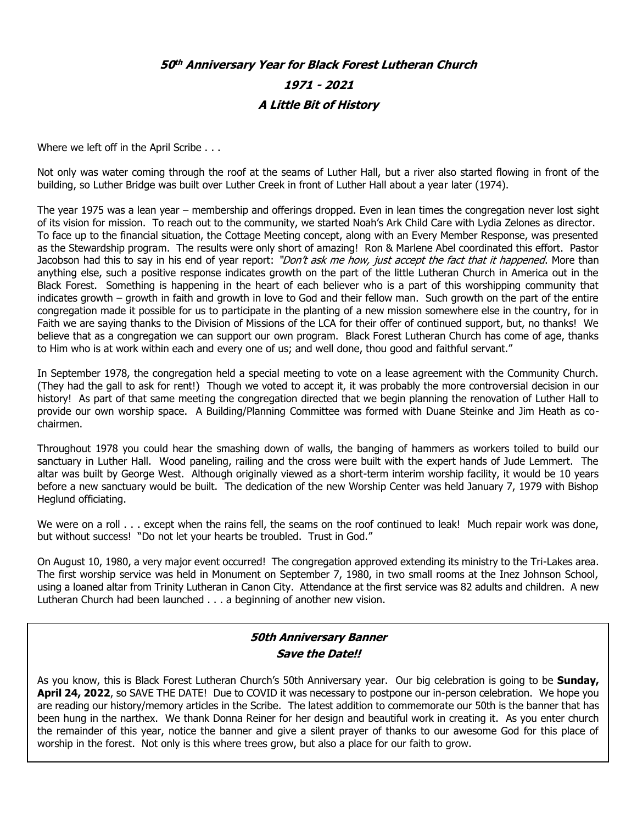## **50 th Anniversary Year for Black Forest Lutheran Church 1971 - 2021 A Little Bit of History**

Where we left off in the April Scribe . . .

Not only was water coming through the roof at the seams of Luther Hall, but a river also started flowing in front of the building, so Luther Bridge was built over Luther Creek in front of Luther Hall about a year later (1974).

The year 1975 was a lean year – membership and offerings dropped. Even in lean times the congregation never lost sight of its vision for mission. To reach out to the community, we started Noah's Ark Child Care with Lydia Zelones as director. To face up to the financial situation, the Cottage Meeting concept, along with an Every Member Response, was presented as the Stewardship program. The results were only short of amazing! Ron & Marlene Abel coordinated this effort. Pastor Jacobson had this to say in his end of year report: "Don't ask me how, just accept the fact that it happened. More than anything else, such a positive response indicates growth on the part of the little Lutheran Church in America out in the Black Forest. Something is happening in the heart of each believer who is a part of this worshipping community that indicates growth – growth in faith and growth in love to God and their fellow man. Such growth on the part of the entire congregation made it possible for us to participate in the planting of a new mission somewhere else in the country, for in Faith we are saying thanks to the Division of Missions of the LCA for their offer of continued support, but, no thanks! We believe that as a congregation we can support our own program. Black Forest Lutheran Church has come of age, thanks to Him who is at work within each and every one of us; and well done, thou good and faithful servant."

In September 1978, the congregation held a special meeting to vote on a lease agreement with the Community Church. (They had the gall to ask for rent!) Though we voted to accept it, it was probably the more controversial decision in our history! As part of that same meeting the congregation directed that we begin planning the renovation of Luther Hall to provide our own worship space. A Building/Planning Committee was formed with Duane Steinke and Jim Heath as cochairmen.

Throughout 1978 you could hear the smashing down of walls, the banging of hammers as workers toiled to build our sanctuary in Luther Hall. Wood paneling, railing and the cross were built with the expert hands of Jude Lemmert. The altar was built by George West. Although originally viewed as a short-term interim worship facility, it would be 10 years before a new sanctuary would be built. The dedication of the new Worship Center was held January 7, 1979 with Bishop Heglund officiating.

We were on a roll  $\ldots$  except when the rains fell, the seams on the roof continued to leak! Much repair work was done, but without success! "Do not let your hearts be troubled. Trust in God."

On August 10, 1980, a very major event occurred! The congregation approved extending its ministry to the Tri-Lakes area. The first worship service was held in Monument on September 7, 1980, in two small rooms at the Inez Johnson School, using a loaned altar from Trinity Lutheran in Canon City. Attendance at the first service was 82 adults and children. A new Lutheran Church had been launched . . . a beginning of another new vision.

## **50th Anniversary Banner Save the Date!!**

As you know, this is Black Forest Lutheran Church's 50th Anniversary year. Our big celebration is going to be **Sunday, April 24, 2022**, so SAVE THE DATE! Due to COVID it was necessary to postpone our in-person celebration. We hope you are reading our history/memory articles in the Scribe. The latest addition to commemorate our 50th is the banner that has been hung in the narthex. We thank Donna Reiner for her design and beautiful work in creating it. As you enter church the remainder of this year, notice the banner and give a silent prayer of thanks to our awesome God for this place of worship in the forest. Not only is this where trees grow, but also a place for our faith to grow.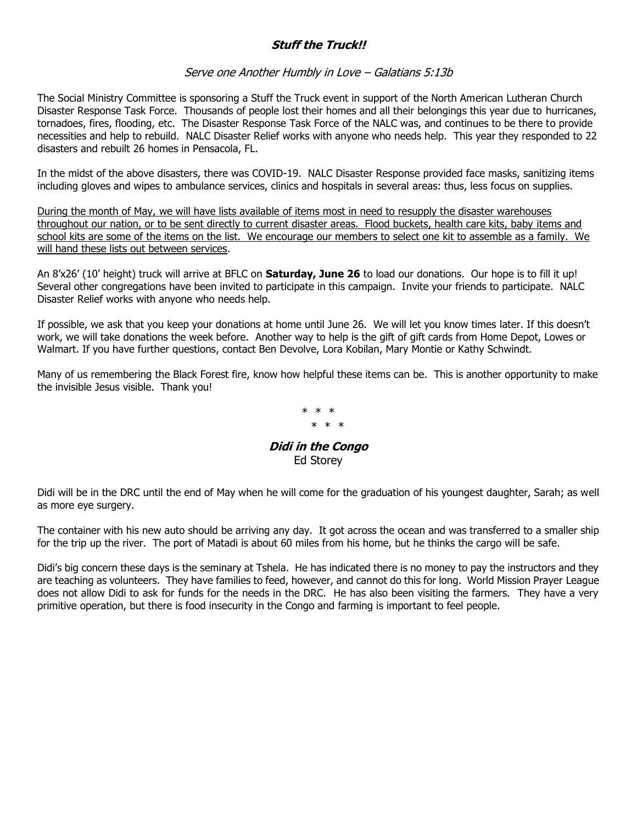## **Stuff the Truck!!**

### Serve one Another Humbly in Love – Galatians 5:13b

The Social Ministry Committee is sponsoring a Stuff the Truck event in support of the North American Lutheran Church Disaster Response Task Force. Thousands of people lost their homes and all their belongings this year due to hurricanes, tornadoes, fires, flooding, etc. The Disaster Response Task Force of the NALC was, and continues to be there to provide necessities and help to rebuild. NALC Disaster Relief works with anyone who needs help. This year they responded to 22 disasters and rebuilt 26 homes in Pensacola, FL.

In the midst of the above disasters, there was COVID-19. NALC Disaster Response provided face masks, sanitizing items including gloves and wipes to ambulance services, clinics and hospitals in several areas: thus, less focus on supplies.

During the month of May, we will have lists available of items most in need to resupply the disaster warehouses throughout our nation, or to be sent directly to current disaster areas. Flood buckets, health care kits, baby items and school kits are some of the items on the list. We encourage our members to select one kit to assemble as a family. We will hand these lists out between services.

An 8'x26' (10' height) truck will arrive at BFLC on **Saturday, June 26** to load our donations. Our hope is to fill it up! Several other congregations have been invited to participate in this campaign. Invite your friends to participate. NALC Disaster Relief works with anyone who needs help.

If possible, we ask that you keep your donations at home until June 26. We will let you know times later. If this doesn't work, we will take donations the week before. Another way to help is the gift of gift cards from Home Depot, Lowes or Walmart. If you have further questions, contact Ben Devolve, Lora Kobilan, Mary Montie or Kathy Schwindt.

Many of us remembering the Black Forest fire, know how helpful these items can be. This is another opportunity to make the invisible Jesus visible. Thank you!

> \* \* \* \* \* \*

**Didi in the Congo**  Ed Storey

Didi will be in the DRC until the end of May when he will come for the graduation of his youngest daughter, Sarah; as well as more eye surgery.

The container with his new auto should be arriving any day. It got across the ocean and was transferred to a smaller ship for the trip up the river. The port of Matadi is about 60 miles from his home, but he thinks the cargo will be safe.

Didi's big concern these days is the seminary at Tshela. He has indicated there is no money to pay the instructors and they are teaching as volunteers. They have families to feed, however, and cannot do this for long. World Mission Prayer League does not allow Didi to ask for funds for the needs in the DRC. He has also been visiting the farmers. They have a very primitive operation, but there is food insecurity in the Congo and farming is important to feel people.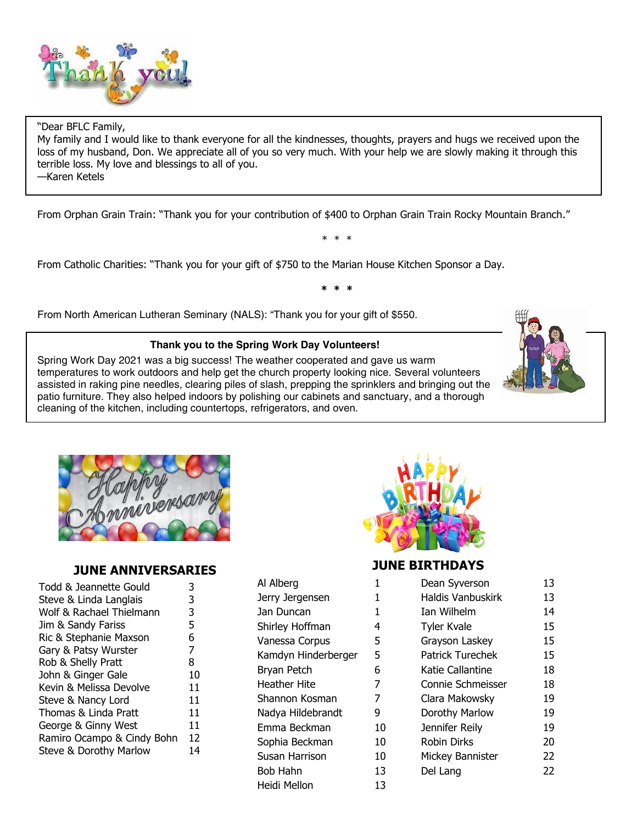

#### "Dear BFLC Family,

My family and I would like to thank everyone for all the kindnesses, thoughts, prayers and hugs we received upon the loss of my husband, Don. We appreciate all of you so very much. With your help we are slowly making it through this terrible loss. My love and blessings to all of you.

—Karen Ketels

From Orphan Grain Train: "Thank you for your contribution of \$400 to Orphan Grain Train Rocky Mountain Branch."

From Catholic Charities: "Thank you for your gift of \$750 to the Marian House Kitchen Sponsor a Day.

**\* \* \***

\* \* \*

From North American Lutheran Seminary (NALS): "Thank you for your gift of \$550.

#### **Thank you to the Spring Work Day Volunteers!**

Spring Work Day 2021 was a big success! The weather cooperated and gave us warm temperatures to work outdoors and help get the church property looking nice. Several volunteers assisted in raking pine needles, clearing piles of slash, prepping the sprinklers and bringing out the patio furniture. They also helped indoors by polishing our cabinets and sanctuary, and a thorough cleaning of the kitchen, including countertops, refrigerators, and oven.





## **JUNE ANNIVERSARIES**

| Todd & Jeannette Gould     | 3  |
|----------------------------|----|
| Steve & Linda Langlais     | 3  |
| Wolf & Rachael Thielmann   | 3  |
| Jim & Sandy Fariss         | 5  |
| Ric & Stephanie Maxson     | 6  |
| Gary & Patsy Wurster       | 7  |
| Rob & Shelly Pratt         | 8  |
| John & Ginger Gale         | 10 |
| Kevin & Melissa Devolve    | 11 |
| Steve & Nancy Lord         | 11 |
| Thomas & Linda Pratt       | 11 |
| George & Ginny West        | 11 |
| Ramiro Ocampo & Cindy Bohn | 12 |
| Steve & Dorothy Marlow     | 14 |
|                            |    |

| Al Alberg           | 1  |
|---------------------|----|
| Jerry Jergensen     | 1  |
| Jan Duncan          | 1  |
| Shirley Hoffman     | 4  |
| Vanessa Corpus      | 5  |
| Kamdyn Hinderberger | 5  |
| Bryan Petch         | 6  |
| Heather Hite        | 7  |
| Shannon Kosman      | 7  |
| Nadya Hildebrandt   | 9  |
| Emma Beckman        | 10 |
| Sophia Beckman      | 10 |
| Susan Harrison      | 10 |
| Bob Hahn            | 13 |
| Heidi Mellon        | 13 |



## **JUNE BIRTHDAYS**

| Al Alberg           |    | Dean Syverson      | 13 |
|---------------------|----|--------------------|----|
| Jerry Jergensen     | 1  | Haldis Vanbuskirk  | 13 |
| Jan Duncan          | 1  | Ian Wilhelm        | 14 |
| Shirley Hoffman     | 4  | <b>Tyler Kvale</b> | 15 |
| Vanessa Corpus      | 5  | Grayson Laskey     | 15 |
| Kamdyn Hinderberger | 5  | Patrick Turechek   | 15 |
| Bryan Petch         | 6  | Katie Callantine   | 18 |
| Heather Hite        | 7  | Connie Schmeisser  | 18 |
| Shannon Kosman      | 7  | Clara Makowsky     | 19 |
| Nadya Hildebrandt   | 9  | Dorothy Marlow     | 19 |
| Emma Beckman        | 10 | Jennifer Reily     | 19 |
| Sophia Beckman      | 10 | <b>Robin Dirks</b> | 20 |
| Susan Harrison      | 10 | Mickey Bannister   | 22 |
| Bob Hahn            | 13 | Del Lang           | 22 |
| .                   |    |                    |    |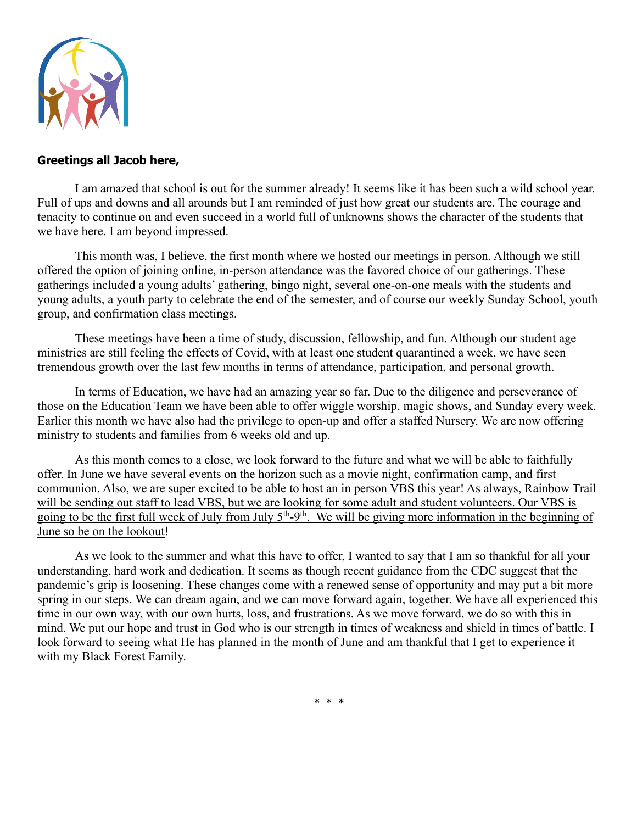

## **Greetings all Jacob here,**

I am amazed that school is out for the summer already! It seems like it has been such a wild school year. Full of ups and downs and all arounds but I am reminded of just how great our students are. The courage and tenacity to continue on and even succeed in a world full of unknowns shows the character of the students that we have here. I am beyond impressed.

This month was, I believe, the first month where we hosted our meetings in person. Although we still offered the option of joining online, in-person attendance was the favored choice of our gatherings. These gatherings included a young adults' gathering, bingo night, several one-on-one meals with the students and young adults, a youth party to celebrate the end of the semester, and of course our weekly Sunday School, youth group, and confirmation class meetings.

These meetings have been a time of study, discussion, fellowship, and fun. Although our student age ministries are still feeling the effects of Covid, with at least one student quarantined a week, we have seen tremendous growth over the last few months in terms of attendance, participation, and personal growth.

In terms of Education, we have had an amazing year so far. Due to the diligence and perseverance of those on the Education Team we have been able to offer wiggle worship, magic shows, and Sunday every week. Earlier this month we have also had the privilege to open-up and offer a staffed Nursery. We are now offering ministry to students and families from 6 weeks old and up.

As this month comes to a close, we look forward to the future and what we will be able to faithfully offer. In June we have several events on the horizon such as a movie night, confirmation camp, and first communion. Also, we are super excited to be able to host an in person VBS this year! As always, Rainbow Trail will be sending out staff to lead VBS, but we are looking for some adult and student volunteers. Our VBS is going to be the first full week of July from July 5<sup>th</sup>-9<sup>th</sup>. We will be giving more information in the beginning of June so be on the lookout!

As we look to the summer and what this have to offer, I wanted to say that I am so thankful for all your understanding, hard work and dedication. It seems as though recent guidance from the CDC suggest that the pandemic's grip is loosening. These changes come with a renewed sense of opportunity and may put a bit more spring in our steps. We can dream again, and we can move forward again, together. We have all experienced this time in our own way, with our own hurts, loss, and frustrations. As we move forward, we do so with this in mind. We put our hope and trust in God who is our strength in times of weakness and shield in times of battle. I look forward to seeing what He has planned in the month of June and am thankful that I get to experience it with my Black Forest Family.

\* \* \*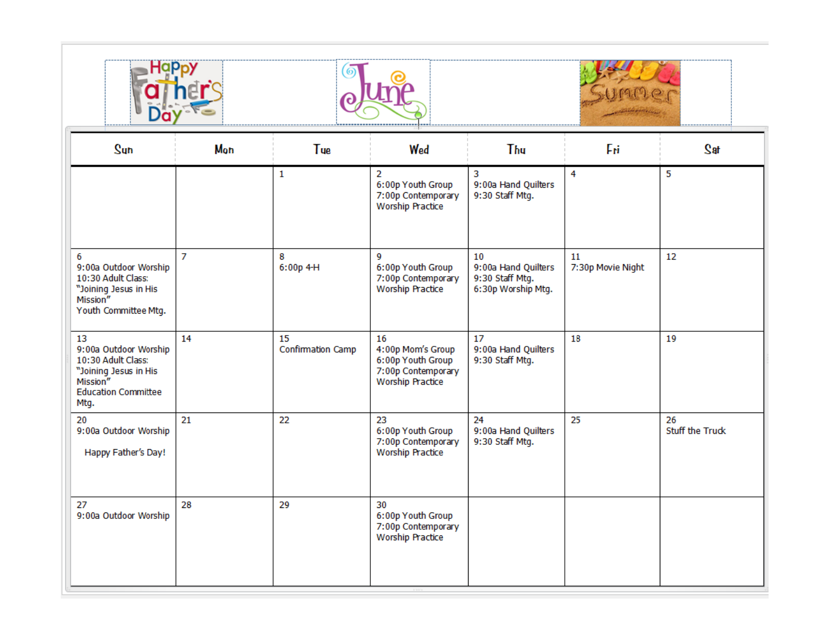



| $S$ un                                                                                                                       | Mon            | Tue                     | Wed                                                                                           | Thu                                                                | Fri                     | te2                          |
|------------------------------------------------------------------------------------------------------------------------------|----------------|-------------------------|-----------------------------------------------------------------------------------------------|--------------------------------------------------------------------|-------------------------|------------------------------|
|                                                                                                                              |                | 1                       | 2<br>6:00p Youth Group<br>7:00p Contemporary<br><b>Worship Practice</b>                       | 3<br>9:00a Hand Quilters<br>9:30 Staff Mtg.                        | 4                       | 5                            |
| 6<br>9:00a Outdoor Worship<br>10:30 Adult Class:<br>"Joining Jesus in His<br>Mission"<br>Youth Committee Mtg.                | $\overline{7}$ | 8<br>$6:00p$ 4-H        | 9<br>6:00p Youth Group<br>7:00p Contemporary<br><b>Worship Practice</b>                       | 10<br>9:00a Hand Quilters<br>9:30 Staff Mtg.<br>6:30p Worship Mtg. | 11<br>7:30p Movie Night | 12                           |
| 13<br>9:00a Outdoor Worship<br>10:30 Adult Class:<br>"Joining Jesus in His<br>Mission"<br><b>Education Committee</b><br>Mtg. | 14             | 15<br>Confirmation Camp | 16<br>4:00p Mom's Group<br>6:00p Youth Group<br>7:00p Contemporary<br><b>Worship Practice</b> | 17<br>9:00a Hand Quilters<br>9:30 Staff Mtg.                       | 18                      | 19                           |
| 20<br>9:00a Outdoor Worship<br>Happy Father's Day!                                                                           | 21             | 22                      | 23<br>6:00p Youth Group<br>7:00p Contemporary<br><b>Worship Practice</b>                      | 24<br>9:00a Hand Quilters<br>9:30 Staff Mtg.                       | 25                      | 26<br><b>Stuff the Truck</b> |
| 27<br>9:00a Outdoor Worship                                                                                                  | 28             | 29                      | 30<br>6:00p Youth Group<br>7:00p Contemporary<br><b>Worship Practice</b>                      |                                                                    |                         |                              |